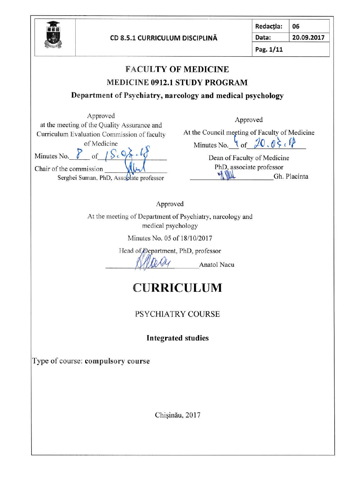

| Redacția: | 06         |
|-----------|------------|
| Data:     | 20.09.2017 |
| Pag. 1/11 |            |

|                                                                                                                                                                                                                                                       | <b>FACULTY OF MEDICINE</b>                                                                                                                                                                                   |
|-------------------------------------------------------------------------------------------------------------------------------------------------------------------------------------------------------------------------------------------------------|--------------------------------------------------------------------------------------------------------------------------------------------------------------------------------------------------------------|
|                                                                                                                                                                                                                                                       | <b>MEDICINE 0912.1 STUDY PROGRAM</b>                                                                                                                                                                         |
|                                                                                                                                                                                                                                                       | Department of Psychiatry, narcology and medical psychology                                                                                                                                                   |
| Approved<br>at the meeting of the Quality Assurance and<br>Curriculum Evaluation Commission of faculty<br>of Medicine<br>Minutes No. 8 of $\int S_{c} \, Q_{\sigma} \, d\sigma$<br>Chair of the commission<br>Serghei Suman, PhD, Associate professor | Approved<br>At the Council meeting of Faculty of Medicine<br>Minutes No. $\setminus$ of $\neq$ $\emptyset$ , $\emptyset \in \ell$<br>Dean of Faculty of Medicine<br>PhD, associate professor<br>Gh. Placinta |
| Approved                                                                                                                                                                                                                                              |                                                                                                                                                                                                              |
| At the meeting of Department of Psychiatry, narcology and                                                                                                                                                                                             |                                                                                                                                                                                                              |
| medical psychology                                                                                                                                                                                                                                    |                                                                                                                                                                                                              |
| Minutes No. 05 of 18/10/2017                                                                                                                                                                                                                          |                                                                                                                                                                                                              |
| Head of Department, PhD, professor                                                                                                                                                                                                                    | Anatol Nacu                                                                                                                                                                                                  |
|                                                                                                                                                                                                                                                       | <b>CURRICULUM</b>                                                                                                                                                                                            |
|                                                                                                                                                                                                                                                       | PSYCHIATRY COURSE                                                                                                                                                                                            |
|                                                                                                                                                                                                                                                       | <b>Integrated studies</b>                                                                                                                                                                                    |
| Type of course: compulsory course                                                                                                                                                                                                                     |                                                                                                                                                                                                              |
|                                                                                                                                                                                                                                                       |                                                                                                                                                                                                              |
|                                                                                                                                                                                                                                                       | Chișinău, 2017                                                                                                                                                                                               |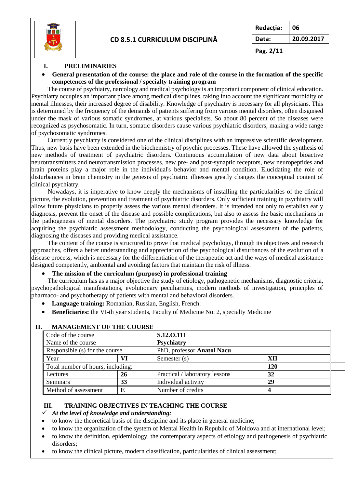

#### **I. PRELIMINARIES**

 **General presentation of the course: the place and role of the course in the formation of the specific competences of the professional / specialty training program**

The course of psychiatry, narcology and medical psychology is an important component of clinical education. Psychiatry occupies an important place among medical disciplines, taking into account the significant morbidity of mental illnesses, their increased degree of disability. Knowledge of psychiatry is necessary for all physicians. This is determined by the frequency of the demands of patients suffering from various mental disorders, often disguised under the mask of various somatic syndromes, at various specialists. So about 80 percent of the diseases were recognized as psychosomatic. In turn, somatic disorders cause various psychiatric disorders, making a wide range of psychosomatic syndromes.

Currently psychiatry is considered one of the clinical disciplines with an impressive scientific development. Thus, new basis have been extended in the biochemistry of psychic processes. These have allowed the synthesis of new methods of treatment of psychiatric disorders. Continuous accumulation of new data about bioactive neurotransmitters and neurotransmission processes, new pre- and post-synaptic receptors, new neuropeptides and brain proteins play a major role in the individual's behavior and mental condition. Elucidating the role of disturbances in brain chemistry in the genesis of psychiatric illnesses greatly changes the conceptual content of clinical psychiatry.

Nowadays, it is imperative to know deeply the mechanisms of installing the particularities of the clinical picture, the evolution, prevention and treatment of psychiatric disorders. Only sufficient training in psychiatry will allow future physicians to properly assess the various mental disorders. It is intended not only to establish early diagnosis, prevent the onset of the disease and possible complications, but also to assess the basic mechanisms in the pathogenesis of mental disorders. The psychiatric study program provides the necessary knowledge for acquiring the psychiatric assessment methodology, conducting the psychological assessment of the patients, diagnosing the diseases and providing medical assistance.

The content of the course is structured to prove that medical psychology, through its objectives and research approaches, offers a better understanding and appreciation of the psychological disturbances of the evolution of a disease process, which is necessary for the differentiation of the therapeutic act and the ways of medical assistance designed competently, ambiental and avoiding factors that maintain the risk of illness.

#### **The mission of the curriculum (purpose) in professional training**

The curriculum has as a major objective the study of etiology, pathogenetic mechanisms, diagnostic criteria, psychopathological manifestations, evolutionary peculiarities, modern methods of investigation, principles of pharmaco- and psychotherapy of patients with mental and behavioral disorders.

- **Language training:** Romanian, Russian, English, French.
- **Beneficiaries:** the VI-th year students, Faculty of Medicine No. 2, specialty Medicine

| Code of the course                                           |    | S.12.0.111                     |     |  |
|--------------------------------------------------------------|----|--------------------------------|-----|--|
| Name of the course                                           |    | Psychiatry                     |     |  |
| PhD, professor Anatol Nacu<br>Responsible (s) for the course |    |                                |     |  |
| Year                                                         |    | Semester (s)                   | XП  |  |
| Total number of hours, including:                            |    |                                | 120 |  |
| Lectures                                                     | 26 | Practical / laboratory lessons | 32  |  |
| Seminars                                                     | 33 | Individual activity            | 29  |  |
| Method of assessment                                         |    | Number of credits              |     |  |

#### **II. MANAGEMENT OF THE COURSE**

#### **III. TRAINING OBJECTIVES IN TEACHING THE COURSE**

*At the level of knowledge and understanding:*

- to know the theoretical basis of the discipline and its place in general medicine;
- to know the organization of the system of Mental Health in Republic of Moldova and at international level;
- to know the definition, epidemiology, the contemporary aspects of etiology and pathogenesis of psychiatric disorders;
- to know the clinical picture, modern classification, particularities of clinical assessment;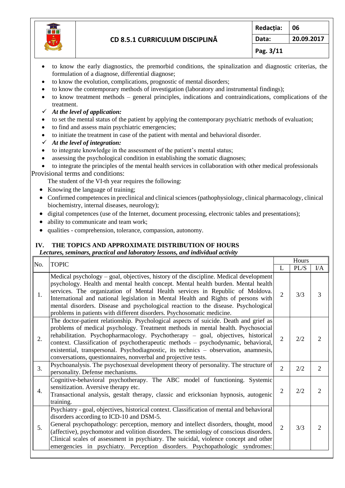

- to know the early diagnostics, the premorbid conditions, the spinalization and diagnostic criterias, the formulation of a diagnose, differential diagnose;
- to know the evolution, complications, prognostic of mental disorders;
- to know the contemporary methods of investigation (laboratory and instrumental findings);
- to know treatment methods general principles, indications and contraindications, complications of the treatment.
- *At the level of application:*
- to set the mental status of the patient by applying the contemporary psychiatric methods of evaluation;
- to find and assess main psychiatric emergencies;
- to initiate the treatment in case of the patient with mental and behavioral disorder.
- *At the level of integration:*
- to integrate knowledge in the assessment of the patient's mental status;
- assessing the psychological condition in establishing the somatic diagnoses;
- to integrate the principles of the mental health services in collaboration with other medical professionals Provisional terms and conditions:
	- The student of the VI-th year requires the following:
	- Knowing the language of training;
	- Confirmed competences in preclinical and clinical sciences (pathophysiology, clinical pharmacology, clinical biochemistry, internal diseases, neurology);
	- digital competences (use of the Internet, document processing, electronic tables and presentations);
	- ability to communicate and team work;
	- qualities comprehension, tolerance, compassion, autonomy.

# **IV. THE TOPICS AND APPROXIMATE DISTRIBUTION OF HOURS**

#### *Lectures, seminars, practical and laboratory lessons, and individual activity*

| No. | <b>TOPIC</b>                                                                                                                                                                                                                                                                                                                                                                                                                                                                                                       |                | Hours |                |  |
|-----|--------------------------------------------------------------------------------------------------------------------------------------------------------------------------------------------------------------------------------------------------------------------------------------------------------------------------------------------------------------------------------------------------------------------------------------------------------------------------------------------------------------------|----------------|-------|----------------|--|
|     |                                                                                                                                                                                                                                                                                                                                                                                                                                                                                                                    |                | PL/S  | $VA$           |  |
| 1.  | Medical psychology $-$ goal, objectives, history of the discipline. Medical development<br>psychology. Health and mental health concept. Mental health burden. Mental health<br>services. The organization of Mental Health services in Republic of Moldova.<br>International and national legislation in Mental Health and Rights of persons with<br>mental disorders. Disease and psychological reaction to the disease. Psychological<br>problems in patients with different disorders. Psychosomatic medicine. | $\overline{2}$ | 3/3   | 3              |  |
| 2.  | The doctor-patient relationship. Psychological aspects of suicide. Death and grief as<br>problems of medical psychology. Treatment methods in mental health. Psychosocial<br>rehabilitation. Psychopharmacology. Psychotherapy – goal, objectives, historical<br>context. Classification of psychotherapeutic methods - psychodynamic, behavioral,<br>existential, transpersonal. Psychodiagnostic, its technics - observation, anamnesis,<br>conversations, questionnaires, nonverbal and projective tests.       | $\overline{2}$ | 2/2   | 2              |  |
| 3.  | Psychoanalysis. The psychosexual development theory of personality. The structure of<br>personality. Defense mechanisms.                                                                                                                                                                                                                                                                                                                                                                                           | $\overline{2}$ | 2/2   | $\overline{2}$ |  |
| 4.  | Cognitive-behavioral psychotherapy. The ABC model of functioning. Systemic<br>sensitization. Aversive therapy etc.<br>Transactional analysis, gestalt therapy, classic and ericksonian hypnosis, autogenic<br>training.                                                                                                                                                                                                                                                                                            | $\overline{2}$ | 2/2   | $\overline{2}$ |  |
| 5.  | Psychiatry - goal, objectives, historical context. Classification of mental and behavioral<br>disorders according to ICD-10 and DSM-5.<br>General psychopathology: perception, memory and intellect disorders, thought, mood<br>(affective), psychomotor and volition disorders. The semiology of conscious disorders.<br>Clinical scales of assessment in psychiatry. The suicidal, violence concept and other<br>emergencies in psychiatry. Perception disorders. Psychopathologic syndromes:                    | $\overline{2}$ | 3/3   | $\overline{2}$ |  |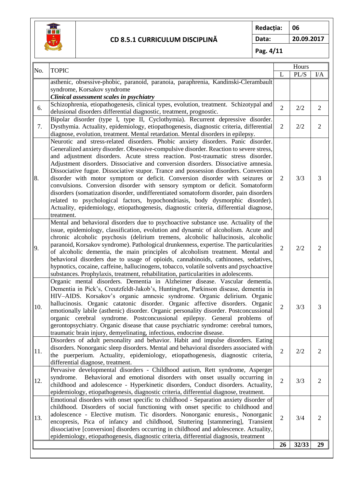

**Redacția: 06 Data: 20.09.2017**

**Pag. 4/11**

| No. |                                                                                                                                                            |                | Hours |                |
|-----|------------------------------------------------------------------------------------------------------------------------------------------------------------|----------------|-------|----------------|
|     | <b>TOPIC</b>                                                                                                                                               | L              | PL/S  | I/A            |
|     | asthenic, obsessive-phobic, paranoid, paranoia, paraphrenia, Kandinski-Clerambault                                                                         |                |       |                |
|     | syndrome, Korsakov syndrome                                                                                                                                |                |       |                |
|     | Clinical assessment scales in psychiatry                                                                                                                   |                |       |                |
| 6.  | Schizophrenia, etiopathogenesis, clinical types, evolution, treatment. Schizotypal and                                                                     | $\overline{2}$ | 2/2   | $\overline{2}$ |
|     | delusional disorders differential diagnostic, treatment, prognostic.                                                                                       |                |       |                |
|     | Bipolar disorder (type I, type II, Cyclothymia). Recurrent depressive disorder.                                                                            |                |       |                |
| 7.  | Dysthymia. Actuality, epidemiology, etiopathogenesis, diagnostic criteria, differential                                                                    | $\overline{2}$ | 2/2   | $\overline{2}$ |
|     | diagnose, evolution, treatment. Mental retardation. Mental disorders in epilepsy.                                                                          |                |       |                |
|     | Neurotic and stress-related disorders. Phobic anxiety disorders. Panic disorder.                                                                           |                |       |                |
|     | Generalized anxiety disorder. Obsessive-compulsive disorder. Reaction to severe stress,                                                                    |                |       |                |
|     | and adjustment disorders. Acute stress reaction. Post-traumatic stress disorder.                                                                           |                |       |                |
|     | Adjustment disorders. Dissociative and conversion disorders. Dissociative amnesia.                                                                         |                |       |                |
|     | Dissociative fugue. Dissociative stupor. Trance and possession disorders. Conversion                                                                       |                |       |                |
| 8.  | disorder with motor symptom or deficit. Conversion disorder with seizures or                                                                               | 2              | 3/3   | 3              |
|     | convulsions. Conversion disorder with sensory symptom or deficit. Somatoform                                                                               |                |       |                |
|     | disorders (somatization disorder, undifferentiated somatoform disorder, pain disorders                                                                     |                |       |                |
|     | related to psychological factors, hypochondriasis, body dysmorphic disorder).                                                                              |                |       |                |
|     | Actuality, epidemiology, etiopathogenesis, diagnostic criteria, differential diagnose,                                                                     |                |       |                |
|     | treatment.                                                                                                                                                 |                |       |                |
|     | Mental and behavioral disorders due to psychoactive substance use. Actuality of the                                                                        |                |       |                |
|     | issue, epidemiology, classification, evolution and dynamic of alcoholism. Acute and                                                                        |                |       |                |
|     | chronic alcoholic psychosis (delirium tremens, alcoholic hallucinosis, alcoholic                                                                           |                |       |                |
| 9.  | paranoid, Korsakov syndrome). Pathological drunkenness, expertise. The particularities                                                                     | $\overline{2}$ | 2/2   | $\overline{2}$ |
|     | of alcoholic dementia, the main principles of alcoholism treatment. Mental and                                                                             |                |       |                |
|     | behavioral disorders due to usage of opioids, cannabinoids, cathinones, sedatives,                                                                         |                |       |                |
|     | hypnotics, cocaine, caffeine, hallucinogens, tobacco, volatile solvents and psychoactive                                                                   |                |       |                |
|     | substances. Prophylaxis, treatment, rehabilitation, particularities in adolescents.                                                                        |                |       |                |
|     | Organic mental disorders. Dementia in Alzheimer disease. Vascular dementia.                                                                                |                |       |                |
|     | Dementia in Pick's, Creutzfeldt-Jakob's, Huntington, Parkinson disease, dementia in                                                                        |                |       |                |
|     | HIV-AIDS. Korsakov's organic amnesic syndrome. Organic delirium. Organic<br>hallucinosis. Organic catatonic disorder. Organic affective disorders. Organic |                |       |                |
| 10. | emotionally labile (asthenic) disorder. Organic personality disorder. Postconcussional                                                                     | $\overline{2}$ | 3/3   | 3              |
|     | organic cerebral syndrome. Postconcussional epilepsy. General problems of                                                                                  |                |       |                |
|     | gerontopsychiatry. Organic disease that cause psychiatric syndrome: cerebral tumors,                                                                       |                |       |                |
|     | traumatic brain injury, demyelinating, infectious, endocrine disease.                                                                                      |                |       |                |
|     | Disorders of adult personality and behavior. Habit and impulse disorders. Eating                                                                           |                |       |                |
|     | disorders. Nonorganic sleep disorders. Mental and behavioral disorders associated with                                                                     |                |       |                |
| 11. | the puerperium. Actuality, epidemiology, etiopathogenesis, diagnostic criteria,                                                                            | $\overline{2}$ | 2/2   | $\overline{2}$ |
|     | differential diagnose, treatment.                                                                                                                          |                |       |                |
|     | Pervasive developmental disorders - Childhood autism, Rett syndrome, Asperger                                                                              |                |       |                |
|     | syndrome.<br>Behavioral and emotional disorders with onset usually occurring in                                                                            |                |       |                |
| 12. | childhood and adolescence - Hyperkinetic disorders, Conduct disorders. Actuality,                                                                          | $\overline{2}$ | 3/3   | $\overline{2}$ |
|     | epidemiology, etiopathogenesis, diagnostic criteria, differential diagnose, treatment.                                                                     |                |       |                |
|     | Emotional disorders with onset specific to childhood - Separation anxiety disorder of                                                                      |                |       |                |
| 13. | childhood. Disorders of social functioning with onset specific to childhood and                                                                            |                |       |                |
|     | adolescence - Elective mutism. Tic disorders. Nonorganic enuresis., Nonorganic                                                                             |                |       |                |
|     | encopresis, Pica of infancy and childhood, Stuttering [stammering], Transient                                                                              | $\overline{2}$ | 3/4   | $\overline{2}$ |
|     | dissociative [conversion] disorders occurring in childhood and adolescence. Actuality,                                                                     |                |       |                |
|     | epidemiology, etiopathogenesis, diagnostic criteria, differential diagnosis, treatment                                                                     |                |       |                |
|     |                                                                                                                                                            | 26             | 32/33 | 29             |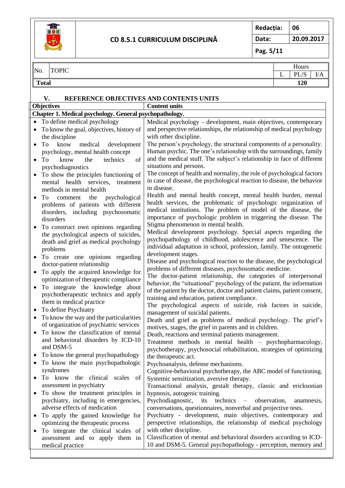

**Redacția: 06 Data: 20.09.2017**

**Pag. 5/11**

# $\overline{N}$   $\overline{N}$   $\overline{N}$   $\overline{N}$   $\overline{N}$   $\overline{N}$   $\overline{N}$   $\overline{N}$   $\overline{N}$   $\overline{N}$   $\overline{N}$   $\overline{N}$   $\overline{N}$   $\overline{N}$   $\overline{N}$   $\overline{N}$   $\overline{N}$   $\overline{N}$   $\overline{N}$   $\overline{N}$   $\overline{N}$   $\overline{N}$   $\overline{N}$   $\overline{N}$   $\overline{$

# $\begin{array}{c|c|c}\nL & PLS & I/A \\
\hline\n120 & & \n\end{array}$ **Total 120**

### **V. REFERENCE OBJECTIVES AND CONTENTS UNITS**

|           | <b>Objectives</b>                                       | <b>Content units</b>                                                                                                                       |
|-----------|---------------------------------------------------------|--------------------------------------------------------------------------------------------------------------------------------------------|
|           | Chapter 1. Medical psychology. General psychopathology. |                                                                                                                                            |
|           | • To define medical psychology                          | Medical psychology - development, main objectives, contemporary                                                                            |
|           | To know the goal, objectives, history of                | and perspective relationships, the relationship of medical psychology                                                                      |
|           | the discipline                                          | with other discipline.                                                                                                                     |
| $\bullet$ | medical<br>To<br>know<br>development                    | The person's psychology, the structural components of a personality.                                                                       |
|           | psychology, mental health concept                       | Human psychic. The one's relationship with the surroundings, family                                                                        |
| $\bullet$ | know<br>technics<br>of<br>To<br>the                     | and the medical stuff. The subject's relationship in face of different                                                                     |
|           | psychodiagnostics                                       | situations and persons.                                                                                                                    |
|           | To show the principles functioning of                   | The concept of health and normality, the role of psychological factors                                                                     |
|           | mental health services,<br>treatment                    | in case of disease, the psychological reaction to disease, the behavior                                                                    |
|           | methods in mental health                                | in disease.                                                                                                                                |
| $\bullet$ | To<br>the<br>psychological<br>comment                   | Health and mental health concept, mental health burden, mental                                                                             |
|           | problems of patients with different                     | health services, the problematic of psychologic organization of                                                                            |
|           | disorders, including psychosomatic                      | medical institutions. The problem of model of the disease, the                                                                             |
|           | disorders                                               | importance of psychologic problem in triggering the disease. The                                                                           |
|           | To construct own opinions regarding                     | Stigma phenomenon in mental health.                                                                                                        |
|           | the psychological aspects of suicides,                  | Medical development psychology. Special aspects regarding the                                                                              |
|           | death and grief as medical psychology                   | psychopathology of childhood, adolescence and senescence. The                                                                              |
|           | problems                                                | individual adaptation in school, profession, family. The ontogenetic                                                                       |
|           | To create one opinions regarding                        | development stages.                                                                                                                        |
|           | doctor-patient relationship                             | Disease and psychological reaction to the disease, the psychological                                                                       |
|           | To apply the acquired knowledge for                     | problems of different diseases, psychosomatic medicine.                                                                                    |
|           | optimization of therapeutic compliance                  | The doctor-patient relationship, the categories of interpersonal<br>behavior, the "situational" psychology of the patient, the information |
| $\bullet$ | To integrate the knowledge about                        | of the patient by the doctor, doctor and patient claims, patient consent,                                                                  |
|           | psychotherapeutic technics and apply                    | training and education, patient compliance.                                                                                                |
|           | them in medical practice                                | The psychological aspects of suicide, risk factors in suicide,                                                                             |
|           | To define Psychiatry                                    | management of suicidal patients.                                                                                                           |
| ٠         | To know the way and the particularities                 | Death and grief as problems of medical psychology. The grief's                                                                             |
|           | of organization of psychiatric services                 | motives, stages, the grief in parents and in children.                                                                                     |
| $\bullet$ | To know the classification of mental                    | Death, reactions and terminal patients management.                                                                                         |
|           | and behavioral disorders by ICD-10                      | Treatment methods in mental health - psychopharmacology,                                                                                   |
|           | and DSM-5                                               | psychotherapy, psychosocial rehabilitation, strategies of optimizing                                                                       |
|           | • To know the general psychopathology                   | the therapeutic act.                                                                                                                       |
|           | To know the main psychopathologic                       | Psychoanalysis, defense mechanisms.                                                                                                        |
|           | syndromes                                               | Cognitive-behavioral psychotherapy, the ABC model of functioning.                                                                          |
|           | the clinical scales<br>To know<br>of                    | Systemic sensitization, aversive therapy.                                                                                                  |
|           | assessment in psychiatry                                | Transactional analysis, gestalt therapy, classic and ericksonian                                                                           |
|           | To show the treatment principles in                     | hypnosis, autogenic training.                                                                                                              |
|           | psychiatry, including in emergencies,                   | Psychodiagnostic,<br>its<br>technics<br>observation,<br>anamnesis,<br>$\overline{\phantom{0}}$                                             |
|           | adverse effects of medication                           | conversations, questionnaires, nonverbal and projective tests.                                                                             |
|           | To apply the gained knowledge for                       | Psychiatry - development, main objectives, contemporary and                                                                                |
|           | optimizing the therapeutic process                      | perspective relationships, the relationship of medical psychology                                                                          |
|           | To integrate the clinical scales of                     | with other discipline.<br>Classification of mental and behavioral disorders according to ICD-                                              |
|           | assessment and to apply them in                         | 10 and DSM-5. General psychopathology - perception, memory and                                                                             |
|           | medical practice                                        |                                                                                                                                            |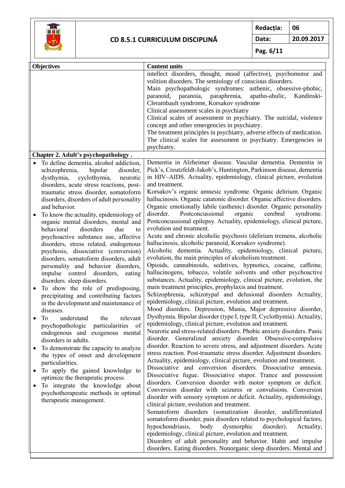

**Redacția: 06**

**Data: 20.09.2017**

**Pag. 6/11**

| <b>Objectives</b>                                                                                                                                                                                                                                                                                                                                                                                                                                                                                                                                                                                                                                                                                                                                                                                                                                                                                                                                                                                                                                                                                                                                                                                                                                                                        | <b>Content units</b>                                                                                                                                                                                                                                                                                                                                                                                                                                                                                                                                                                                                                                                                                                                                                                                                                                                                                                                                                                                                                                                                                                                                                                                                                                                                                                                                                                                                                                                                                                                                                                                                                                                                                                                                                                                                                                                                                                                                                                                                                                                                                                                                                                                                                                                                                                                                                                                                                                                                                                                                                                                                                                                               |
|------------------------------------------------------------------------------------------------------------------------------------------------------------------------------------------------------------------------------------------------------------------------------------------------------------------------------------------------------------------------------------------------------------------------------------------------------------------------------------------------------------------------------------------------------------------------------------------------------------------------------------------------------------------------------------------------------------------------------------------------------------------------------------------------------------------------------------------------------------------------------------------------------------------------------------------------------------------------------------------------------------------------------------------------------------------------------------------------------------------------------------------------------------------------------------------------------------------------------------------------------------------------------------------|------------------------------------------------------------------------------------------------------------------------------------------------------------------------------------------------------------------------------------------------------------------------------------------------------------------------------------------------------------------------------------------------------------------------------------------------------------------------------------------------------------------------------------------------------------------------------------------------------------------------------------------------------------------------------------------------------------------------------------------------------------------------------------------------------------------------------------------------------------------------------------------------------------------------------------------------------------------------------------------------------------------------------------------------------------------------------------------------------------------------------------------------------------------------------------------------------------------------------------------------------------------------------------------------------------------------------------------------------------------------------------------------------------------------------------------------------------------------------------------------------------------------------------------------------------------------------------------------------------------------------------------------------------------------------------------------------------------------------------------------------------------------------------------------------------------------------------------------------------------------------------------------------------------------------------------------------------------------------------------------------------------------------------------------------------------------------------------------------------------------------------------------------------------------------------------------------------------------------------------------------------------------------------------------------------------------------------------------------------------------------------------------------------------------------------------------------------------------------------------------------------------------------------------------------------------------------------------------------------------------------------------------------------------------------------|
|                                                                                                                                                                                                                                                                                                                                                                                                                                                                                                                                                                                                                                                                                                                                                                                                                                                                                                                                                                                                                                                                                                                                                                                                                                                                                          | intellect disorders, thought, mood (affective), psychomotor and<br>volition disorders. The semiology of conscious disorders.<br>Main psychopathologic syndromes: asthenic, obsessive-phobic,<br>apatho-abulic,<br>paranoid, paranoia, paraphrenia,<br>Kandinski-<br>Clerambault syndrome, Korsakov syndrome<br>Clinical assessment scales in psychiatry<br>Clinical scales of assessment in psychiatry. The suicidal, violence<br>concept and other emergencies in psychiatry.<br>The treatment principles in psychiatry, adverse effects of medication.<br>The clinical scales for assessment in psychiatry. Emergencies in<br>psychiatry.                                                                                                                                                                                                                                                                                                                                                                                                                                                                                                                                                                                                                                                                                                                                                                                                                                                                                                                                                                                                                                                                                                                                                                                                                                                                                                                                                                                                                                                                                                                                                                                                                                                                                                                                                                                                                                                                                                                                                                                                                                        |
| Chapter 2. Adult's psychopathology.                                                                                                                                                                                                                                                                                                                                                                                                                                                                                                                                                                                                                                                                                                                                                                                                                                                                                                                                                                                                                                                                                                                                                                                                                                                      |                                                                                                                                                                                                                                                                                                                                                                                                                                                                                                                                                                                                                                                                                                                                                                                                                                                                                                                                                                                                                                                                                                                                                                                                                                                                                                                                                                                                                                                                                                                                                                                                                                                                                                                                                                                                                                                                                                                                                                                                                                                                                                                                                                                                                                                                                                                                                                                                                                                                                                                                                                                                                                                                                    |
| To define dementia, alcohol addiction,<br>schizophrenia,<br>bipolar<br>disorder,<br>dysthymia,<br>cyclothymia,<br>neurotic<br>disorders, acute stress reactions, post-<br>traumatic stress disorder, somatoform<br>disorders, disorders of adult personality<br>and behavior.<br>To know the actuality, epidemiology of<br>organic mental disorders, mental and<br>behavioral<br>disorders<br>due<br>to<br>psychoactive substance use, affective<br>disorders, stress related, endogenous<br>psychosis, dissociative (conversion)<br>disorders, somatoform disorders, adult<br>personality and behavior disorders,<br>impulse control disorders,<br>eating<br>disorders. sleep disorders.<br>To show the role of predisposing,<br>$\bullet$<br>precipitating and contributing factors<br>in the development and maintenance of<br>diseases.<br>To<br>understand<br>relevant<br>the<br>psychopathologic particularities<br>of<br>endogenous and exogenous mental<br>disorders in adults.<br>To demonstrate the capacity to analyze<br>the types of onset and development<br>particularities.<br>To apply the gained knowledge to<br>$\bullet$<br>optimize the therapeutic process.<br>To integrate the knowledge about<br>psychotherapeutic methods in optimal<br>therapeutic management. | Dementia in Alzheimer disease. Vascular dementia. Dementia in<br>Pick's, Creutzfeldt-Jakob's, Huntington, Parkinson disease, dementia<br>in HIV-AIDS. Actuality, epidemiology, clinical picture, evolution<br>and treatment.<br>Korsakov's organic amnesic syndrome. Organic delirium. Organic<br>hallucinosis. Organic catatonic disorder. Organic affective disorders.<br>Organic emotionally labile (asthenic) disorder. Organic personality<br>disorder.<br>Postconcussional<br>organic<br>cerebral<br>syndrome.<br>Postconcussional epilepsy. Actuality, epidemiology, clinical picture,<br>evolution and treatment.<br>Acute and chronic alcoholic psychosis (delirium tremens, alcoholic<br>hallucinosis, alcoholic paranoid, Korsakov syndrome).<br>Alcoholic dementia. Actuality, epidemiology, clinical picture,<br>evolution, the main principles of alcoholism treatment.<br>Opioids, cannabinoids, sedatives, hypnotics, cocaine, caffeine,<br>hallucinogens, tobacco, volatile solvents and other psychoactive<br>substances. Actuality, epidemiology, clinical picture, evolution, the<br>main treatment principles, prophylaxis and treatment.<br>Schizophrenia, schizotypal and delusional disorders Actuality,<br>epidemiology, clinical picture, evolution and treatment.<br>Mood disorders. Depression, Mania, Major depressive disorder,<br>Dysthymia. Bipolar disorder (type I, type II, Cyclothymia). Actuality,<br>epidemiology, clinical picture, evolution and treatment.<br>Neurotic and stress-related disorders. Phobic anxiety disorders. Panic<br>disorder. Generalized anxiety disorder. Obsessive-compulsive<br>disorder. Reaction to severe stress, and adjustment disorders. Acute<br>stress reaction. Post-traumatic stress disorder. Adjustment disorders.<br>Actuality, epidemiology, clinical picture, evolution and treatment.<br>Dissociative and conversion disorders. Dissociative amnesia.<br>Dissociative fugue. Dissociative stupor. Trance and possession<br>disorders. Conversion disorder with motor symptom or deficit.<br>Conversion disorder with seizures or convulsions. Conversion<br>disorder with sensory symptom or deficit. Actuality, epidemiology,<br>clinical picture, evolution and treatment.<br>Somatoform disorders (somatization disorder, undifferentiated<br>somatoform disorder, pain disorders related to psychological factors,<br>disorder).<br>hypochondriasis,<br>body<br>dysmorphic<br>Actuality,<br>epidemiology, clinical picture, evolution and treatment.<br>Disorders of adult personality and behavior. Habit and impulse<br>disorders. Eating disorders. Nonorganic sleep disorders. Mental and |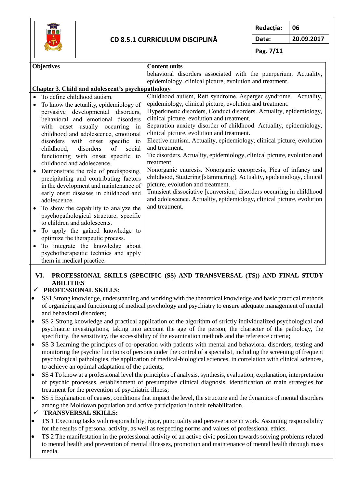

**Redacția: 06**

**Data: 20.09.2017**

**Pag. 7/11**

| <b>Objectives</b>                                   | <b>Content units</b>                                                    |  |  |  |  |
|-----------------------------------------------------|-------------------------------------------------------------------------|--|--|--|--|
|                                                     | behavioral disorders associated with the puerperium. Actuality,         |  |  |  |  |
|                                                     | epidemiology, clinical picture, evolution and treatment.                |  |  |  |  |
| Chapter 3. Child and adolescent's psychopathology   |                                                                         |  |  |  |  |
| To define childhood autism.                         | Childhood autism, Rett syndrome, Asperger syndrome. Actuality,          |  |  |  |  |
| To know the actuality, epidemiology of<br>$\bullet$ | epidemiology, clinical picture, evolution and treatment.                |  |  |  |  |
| pervasive developmental disorders,                  | Hyperkinetic disorders, Conduct disorders. Actuality, epidemiology,     |  |  |  |  |
| behavioral and emotional disorders                  | clinical picture, evolution and treatment.                              |  |  |  |  |
| with onset usually occurring<br>in                  | Separation anxiety disorder of childhood. Actuality, epidemiology,      |  |  |  |  |
| childhood and adolescence, emotional                | clinical picture, evolution and treatment.                              |  |  |  |  |
| disorders with onset specific<br>to                 | Elective mutism. Actuality, epidemiology, clinical picture, evolution   |  |  |  |  |
| disorders<br>childhood,<br>of<br>social             | and treatment.                                                          |  |  |  |  |
| functioning with onset specific to                  | Tic disorders. Actuality, epidemiology, clinical picture, evolution and |  |  |  |  |
| childhood and adolescence.                          | treatment.                                                              |  |  |  |  |
| Demonstrate the role of predisposing,               | Nonorganic enuresis. Nonorganic encopresis, Pica of infancy and         |  |  |  |  |
| precipitating and contributing factors              | childhood, Stuttering [stammering]. Actuality, epidemiology, clinical   |  |  |  |  |
| in the development and maintenance of               | picture, evolution and treatment.                                       |  |  |  |  |
| early onset diseases in childhood and               | Transient dissociative [conversion] disorders occurring in childhood    |  |  |  |  |
| adolescence.                                        | and adolescence. Actuality, epidemiology, clinical picture, evolution   |  |  |  |  |
| To show the capability to analyze the               | and treatment.                                                          |  |  |  |  |
| psychopathological structure, specific              |                                                                         |  |  |  |  |
| to children and adolescents.                        |                                                                         |  |  |  |  |
| To apply the gained knowledge to                    |                                                                         |  |  |  |  |
| ٠                                                   |                                                                         |  |  |  |  |
| optimize the therapeutic process.                   |                                                                         |  |  |  |  |
| To integrate the knowledge about<br>٠               |                                                                         |  |  |  |  |
| psychotherapeutic technics and apply                |                                                                         |  |  |  |  |
| them in medical practice.                           |                                                                         |  |  |  |  |

#### **VI. PROFESSIONAL SKILLS (SPECIFIC (SS) AND TRANSVERSAL (TS)) AND FINAL STUDY ABILITIES**

#### **PROFESSIONAL SKILLS:**

- SS1 Strong knowledge, understanding and working with the theoretical knowledge and basic practical methods of organizing and functioning of medical psychology and psychiatry to ensure adequate management of mental and behavioral disorders;
- SS 2 Strong knowledge and practical application of the algorithm of strictly individualized psychological and psychiatric investigations, taking into account the age of the person, the character of the pathology, the specificity, the sensitivity, the accessibility of the examination methods and the reference criteria;
- SS 3 Learning the principles of co-operation with patients with mental and behavioral disorders, testing and monitoring the psychic functions of persons under the control of a specialist, including the screening of frequent psychological pathologies, the application of medical-biological sciences, in correlation with clinical sciences, to achieve an optimal adaptation of the patients;
- SS 4 To know at a professional level the principles of analysis, synthesis, evaluation, explanation, interpretation of psychic processes, establishment of presumptive clinical diagnosis, identification of main strategies for treatment for the prevention of psychiatric illness;
- SS 5 Explanation of causes, conditions that impact the level, the structure and the dynamics of mental disorders among the Moldovan population and active participation in their rehabilitation.
- **TRANSVERSAL SKILLS:**
- TS 1 Executing tasks with responsibility, rigor, punctuality and perseverance in work. Assuming responsibility for the results of personal activity, as well as respecting norms and values of professional ethics.
- TS 2 The manifestation in the professional activity of an active civic position towards solving problems related to mental health and prevention of mental illnesses, promotion and maintenance of mental health through mass media.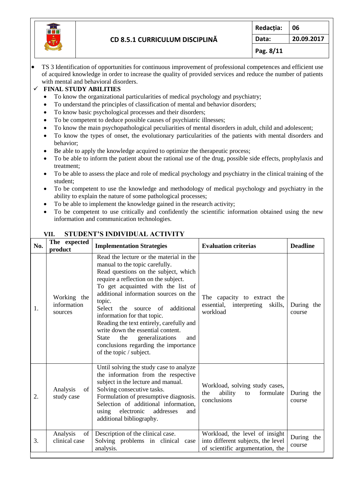

 TS 3 Identification of opportunities for continuous improvement of professional competences and efficient use of acquired knowledge in order to increase the quality of provided services and reduce the number of patients with mental and behavioral disorders.

#### **FINAL STUDY ABILITIES**

- To know the organizational particularities of medical psychology and psychiatry;
- To understand the principles of classification of mental and behavior disorders;
- To know basic psychological processes and their disorders;
- To be competent to deduce possible causes of psychiatric illnesses:
- To know the main psychopathological peculiarities of mental disorders in adult, child and adolescent;
- To know the types of onset, the evolutionary particularities of the patients with mental disorders and behavior;
- Be able to apply the knowledge acquired to optimize the therapeutic process;
- To be able to inform the patient about the rational use of the drug, possible side effects, prophylaxis and treatment;
- To be able to assess the place and role of medical psychology and psychiatry in the clinical training of the student;
- To be competent to use the knowledge and methodology of medical psychology and psychiatry in the ability to explain the nature of some pathological processes;
- To be able to implement the knowledge gained in the research activity;
- To be competent to use critically and confidently the scientific information obtained using the new information and communication technologies.

| No. | The expected<br>product               | <b>Implementation Strategies</b>                                                                                                                                                                                                                                                                                                                                                                                                                                                                                            | <b>Evaluation criterias</b>                                                                              | <b>Deadline</b>      |
|-----|---------------------------------------|-----------------------------------------------------------------------------------------------------------------------------------------------------------------------------------------------------------------------------------------------------------------------------------------------------------------------------------------------------------------------------------------------------------------------------------------------------------------------------------------------------------------------------|----------------------------------------------------------------------------------------------------------|----------------------|
| 1.  | Working the<br>information<br>sources | Read the lecture or the material in the<br>manual to the topic carefully.<br>Read questions on the subject, which<br>require a reflection on the subject.<br>To get acquainted with the list of<br>additional information sources on the<br>topic.<br>additional<br>Select the<br>of<br>source<br>information for that topic.<br>Reading the text entirely, carefully and<br>write down the essential content.<br>the<br>generalizations<br>State<br>and<br>conclusions regarding the importance<br>of the topic / subject. | The capacity to extract the<br>essential,<br>interpreting<br>skills,<br>workload                         | During the<br>course |
| 2.  | Analysis<br>of<br>study case          | Until solving the study case to analyze<br>the information from the respective<br>subject in the lecture and manual.<br>Solving consecutive tasks.<br>Formulation of presumptive diagnosis.<br>Selection of additional information,<br>electronic<br>addresses<br>using<br>and<br>additional bibliography.                                                                                                                                                                                                                  | Workload, solving study cases,<br>ability<br>formulate<br>the<br>to<br>conclusions                       | During the<br>course |
| 3.  | Analysis<br>of<br>clinical case       | Description of the clinical case.<br>Solving problems in clinical case<br>analysis.                                                                                                                                                                                                                                                                                                                                                                                                                                         | Workload, the level of insight<br>into different subjects, the level<br>of scientific argumentation, the | During the<br>course |

# **VII. STUDENT'S INDIVIDUAL ACTIVITY**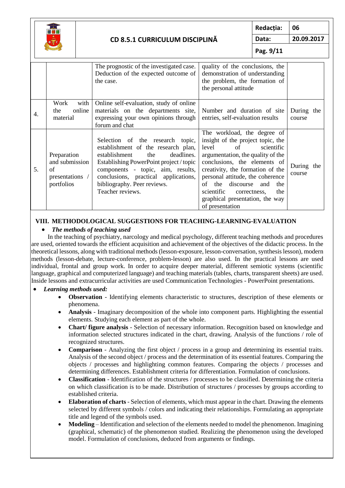

**Redacția: 06 Data: 20.09.2017**

**Pag. 9/11**

|    |                                                                      | The prognostic of the investigated case.<br>Deduction of the expected outcome of<br>the case.                                                                                                                                                                                            | quality of the conclusions, the<br>demonstration of understanding<br>the problem, the formation of<br>the personal attitude                                                                                                                                                                                                                                                     |                      |
|----|----------------------------------------------------------------------|------------------------------------------------------------------------------------------------------------------------------------------------------------------------------------------------------------------------------------------------------------------------------------------|---------------------------------------------------------------------------------------------------------------------------------------------------------------------------------------------------------------------------------------------------------------------------------------------------------------------------------------------------------------------------------|----------------------|
| 4. | Work<br>with<br>online<br>the<br>material                            | Online self-evaluation, study of online<br>materials on the departments site,<br>expressing your own opinions through<br>forum and chat                                                                                                                                                  | Number and duration of site<br>entries, self-evaluation results                                                                                                                                                                                                                                                                                                                 | During the<br>course |
| 5. | Preparation<br>and submission<br>of<br>presentations /<br>portfolios | Selection of the research topic,<br>establishment of the research plan,<br>deadlines.<br>establishment<br>the<br>Establishing PowerPoint project / topic<br>components - topic, aim, results,<br>conclusions, practical applications,<br>bibliography. Peer reviews.<br>Teacher reviews. | The workload, the degree of<br>insight of the project topic, the<br>scientific<br>level<br>$\sigma$ f<br>argumentation, the quality of the<br>conclusions, the elements of<br>creativity, the formation of the<br>personal attitude, the coherence<br>the discourse and<br>of<br>the<br>scientific<br>the<br>correctness,<br>graphical presentation, the way<br>of presentation | During the<br>course |

#### **VIII. METHODOLOGICAL SUGGESTIONS FOR TEACHING-LEARNING-EVALUATION**

# *The methods of teaching used*

In the teaching of psychiatry, narcology and medical psychology, different teaching methods and procedures are used, oriented towards the efficient acquisition and achievement of the objectives of the didactic process. In the theoretical lessons, along with traditional methods (lesson-exposure, lesson-conversation, synthesis lesson), modern methods (lesson-debate, lecture-conference, problem-lesson) are also used. In the practical lessons are used individual, frontal and group work. In order to acquire deeper material, different semiotic systems (scientific language, graphical and computerized language) and teaching materials (tables, charts, transparent sheets) are used. Inside lessons and extracurricular activities are used Communication Technologies - PowerPoint presentations.

#### *Learning methods used:*

- **Observation**  Identifying elements characteristic to structures, description of these elements or phenomena.
- **Analysis** Imaginary decomposition of the whole into component parts. Highlighting the essential elements. Studying each element as part of the whole.
- **Chart/ figure analysis** Selection of necessary information. Recognition based on knowledge and information selected structures indicated in the chart, drawing. Analysis of the functions / role of recognized structures.
- **Comparison** Analyzing the first object / process in a group and determining its essential traits. Analysis of the second object / process and the determination of its essential features. Comparing the objects / processes and highlighting common features. Comparing the objects / processes and determining differences. Establishment criteria for differentiation. Formulation of conclusions.
- **Classification** Identification of the structures / processes to be classified. Determining the criteria on which classification is to be made. Distribution of structures / processes by groups according to established criteria.
- **Elaboration of charts**  Selection of elements, which must appear in the chart. Drawing the elements selected by different symbols / colors and indicating their relationships. Formulating an appropriate title and legend of the symbols used.
- **Modeling** Identification and selection of the elements needed to model the phenomenon. Imagining (graphical, schematic) of the phenomenon studied. Realizing the phenomenon using the developed model. Formulation of conclusions, deduced from arguments or findings.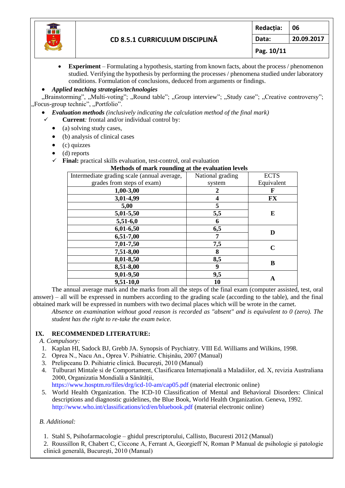

 **Experiment** – Formulating a hypothesis, starting from known facts, about the process / phenomenon studied. Verifying the hypothesis by performing the processes / phenomena studied under laboratory conditions. Formulation of conclusions, deduced from arguments or findings.

#### *Applied teaching strategies/technologies*

"Brainstorming", "Multi-voting"; "Round table"; "Group interview"; "Study case"; "Creative controversy"; "Focus-group technic", "Portfolio".

- *Evaluation methods (inclusively indicating the calculation method of the final mark)*
- **Current***:* frontal and/or individual control by:
	- $\bullet$  (a) solving study cases,
	- (b) analysis of clinical cases
	- $\bullet$  (c) quizzes
	- $\bullet$  (d) reports
	- **Final:** practical skills evaluation, test-control, oral evaluation

| Methods of mark rounding at the evaluation levels |                         |             |  |  |  |
|---------------------------------------------------|-------------------------|-------------|--|--|--|
| Intermediate grading scale (annual average,       | National grading        | <b>ECTS</b> |  |  |  |
| grades from steps of exam)                        | system                  | Equivalent  |  |  |  |
| $1,00-3,00$                                       | 2                       | F           |  |  |  |
| 3,01-4,99                                         | $\overline{\mathbf{4}}$ | <b>FX</b>   |  |  |  |
| 5,00                                              | 5                       |             |  |  |  |
| 5,01-5,50                                         | 5,5                     | E           |  |  |  |
| $5,51-6,0$                                        | 6                       |             |  |  |  |
| $6,01-6,50$                                       | 6,5                     | D           |  |  |  |
| 6,51-7,00                                         | 7                       |             |  |  |  |
| 7,01-7,50                                         | 7,5                     | $\mathbf C$ |  |  |  |
| 7,51-8,00                                         | 8                       |             |  |  |  |
| 8,01-8,50                                         | 8,5                     |             |  |  |  |
| 8,51-8,00                                         | 9                       | B           |  |  |  |
| 9,01-9,50                                         | 9,5                     |             |  |  |  |
| $9,51-10,0$                                       | 10                      | A           |  |  |  |

The annual average mark and the marks from all the steps of the final exam (computer assisted, test, oral answer) – all will be expressed in numbers according to the grading scale (according to the table), and the final obtained mark will be expressed in numbers with two decimal places which will be wrote in the carnet.

*Absence on examination without good reason is recorded as "absent" and is equivalent to 0 (zero). The student has the right to re-take the exam twice.*

#### **IX. RECOMMENDED LITERATURE:**

- *A. Compulsory:*
- 1. Kaplan HI, Sadock BJ, Grebb JA. Synopsis of Psychiatry. VIII Ed. Williams and Wilkins, 1998.
- 2. Oprea N., Nacu An., Oprea V. Psihiatrie. Chişinău, 2007 (Manual)
- 3. Prelipceanu D. Psihiatrie clinică. Bucureşti, 2010 (Manual)
- 4. Tulburari Mintale si de Comportament, Clasificarea Internațională a Maladiilor, ed. X, revizia Australiana 2000, Organizatia Mondială a Sănătății,

<https://www.hosptm.ro/files/drg/icd-10-am/cap05.pdf> (material electronic online)

5. World Health Organization. The ICD-10 Classification of Mental and Behavioral Disorders: Clinical descriptions and diagnostic guidelines, the Blue Book, World Health Organization. Geneva, 1992. <http://www.who.int/classifications/icd/en/bluebook.pdf> (material electronic online)

#### *B. Additional:*

1. Stahl S, Psihofarmacologie – ghidul prescriptorului, Callisto, Bucuresti 2012 (Manual)

2. Roussillon R, Chabert C, Ciccone A, Ferrant A, Georgieff N, Roman P Manual de psihologie și patologie clinică generală, București, 2010 (Manual)